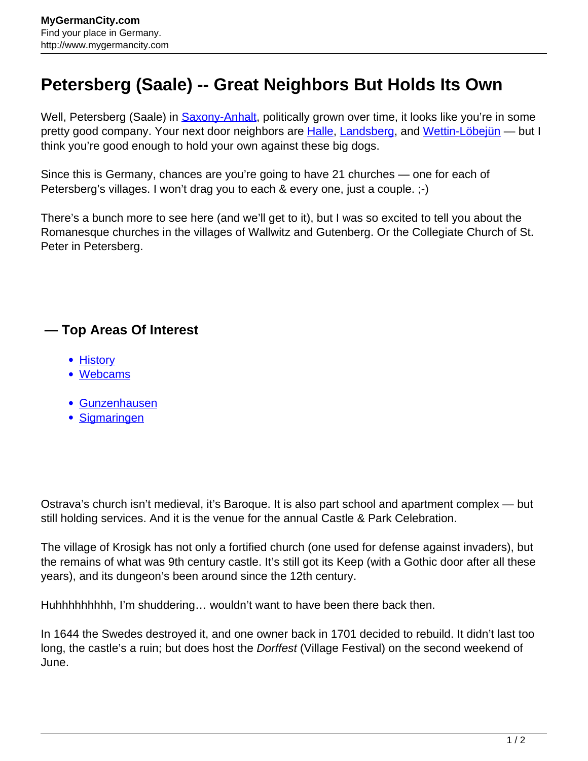## **Petersberg (Saale) -- Great Neighbors But Holds Its Own**

Well, Petersberg (Saale) in **Saxony-Anhalt**, politically grown over time, it looks like you're in some pretty good company. Your next door neighbors are **[Halle](http://www.mygermancity.com/halle), Landsberg**, and [Wettin-Löbejün](http://www.mygermancity.com/wettin-loebejuen) — but I think you're good enough to hold your own against these big dogs.

Since this is Germany, chances are you're going to have 21 churches — one for each of Petersberg's villages. I won't drag you to each & every one, just a couple. ;-)

There's a bunch more to see here (and we'll get to it), but I was so excited to tell you about the Romanesque churches in the villages of Wallwitz and Gutenberg. Or the Collegiate Church of St. Peter in Petersberg.

## **— Top Areas Of Interest**

- [History](http://www.mygermancity.com/leipzig-history)
- [Webcams](http://www.mygermancity.com/neustadt-holstein-webcams)
- [Gunzenhausen](http://www.mygermancity.com/gunzenhausen)
- [Sigmaringen](http://www.mygermancity.com/sigmaringen)

Ostrava's church isn't medieval, it's Baroque. It is also part school and apartment complex — but still holding services. And it is the venue for the annual Castle & Park Celebration.

The village of Krosigk has not only a fortified church (one used for defense against invaders), but the remains of what was 9th century castle. It's still got its Keep (with a Gothic door after all these years), and its dungeon's been around since the 12th century.

Huhhhhhhhhh, I'm shuddering… wouldn't want to have been there back then.

In 1644 the Swedes destroyed it, and one owner back in 1701 decided to rebuild. It didn't last too long, the castle's a ruin; but does host the Dorffest (Village Festival) on the second weekend of June.